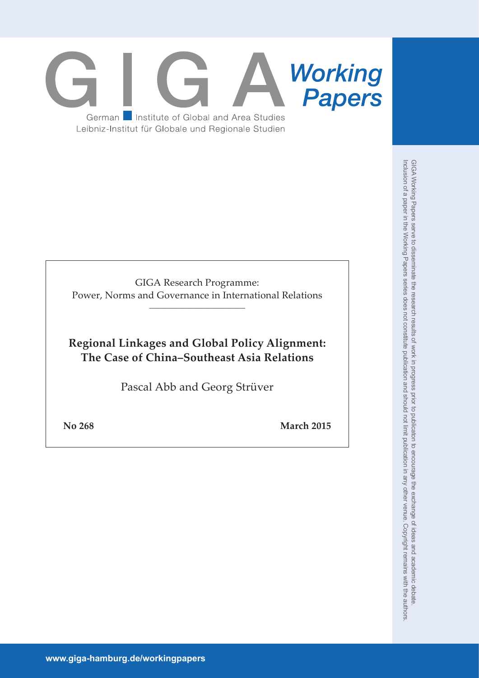# **Working**<br>**Papers** German **Institute of Global and Area Studies** Leibniz-Institut für Globale und Regionale Studien

GIGA Research Programme: Power, Norms and Governance in International Relations \_\_\_\_\_\_\_\_\_\_\_\_\_\_\_\_\_\_\_\_\_\_\_\_\_\_\_

# **Regional Linkages and Global Policy Alignment: The Case of China–Southeast Asia Relations**

Pascal Abb and Georg Strüver

**No 268 March 2015**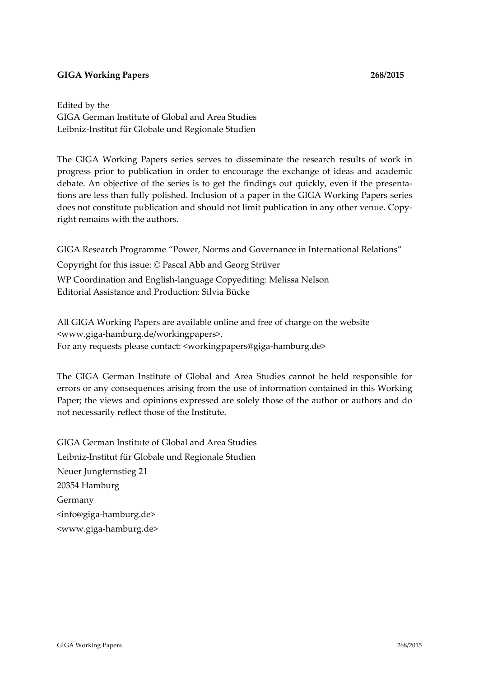# **GIGA Working Papers 268/2015**

Edited by the GIGA German Institute of Global and Area Studies Leibniz‐Institut für Globale und Regionale Studien

The GIGA Working Papers series serves to disseminate the research results of work in progress prior to publication in order to encourage the exchange of ideas and academic debate. An objective of the series is to get the findings out quickly, even if the presenta‐ tions are less than fully polished. Inclusion of a paper in the GIGA Working Papers series does not constitute publication and should not limit publication in any other venue. Copyright remains with the authors.

GIGA Research Programme "Power, Norms and Governance in International Relations"

Copyright for this issue: © Pascal Abb and Georg Strüver

WP Coordination and English‐language Copyediting: Melissa Nelson Editorial Assistance and Production: Silvia Bücke

All GIGA Working Papers are available online and free of charge on the website <www.giga‐hamburg.de/workingpapers>. For any requests please contact: <workingpapers@giga-hamburg.de>

The GIGA German Institute of Global and Area Studies cannot be held responsible for errors or any consequences arising from the use of information contained in this Working Paper; the views and opinions expressed are solely those of the author or authors and do not necessarily reflect those of the Institute.

GIGA German Institute of Global and Area Studies Leibniz‐Institut für Globale und Regionale Studien Neuer Jungfernstieg 21 20354 Hamburg Germany <info@giga‐hamburg.de> <www.giga‐hamburg.de>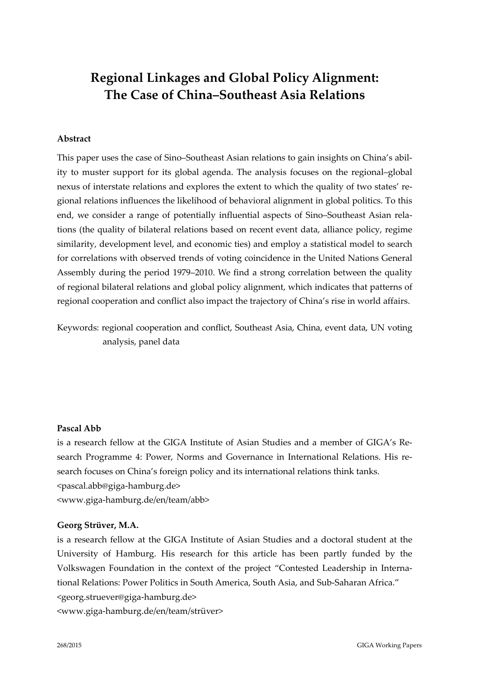# **Regional Linkages and Global Policy Alignment: The Case of China–Southeast Asia Relations**

## **Abstract**

This paper uses the case of Sino–Southeast Asian relations to gain insights on China's abil‐ ity to muster support for its global agenda. The analysis focuses on the regional–global nexus of interstate relations and explores the extent to which the quality of two states' regional relations influences the likelihood of behavioral alignment in global politics. To this end, we consider a range of potentially influential aspects of Sino-Southeast Asian relations (the quality of bilateral relations based on recent event data, alliance policy, regime similarity, development level, and economic ties) and employ a statistical model to search for correlations with observed trends of voting coincidence in the United Nations General Assembly during the period 1979–2010. We find a strong correlation between the quality of regional bilateral relations and global policy alignment, which indicates that patterns of regional cooperation and conflict also impact the trajectory of China's rise in world affairs.

Keywords: regional cooperation and conflict, Southeast Asia, China, event data, UN voting analysis, panel data

#### **Pascal Abb**

is a research fellow at the GIGA Institute of Asian Studies and a member of GIGA's Re‐ search Programme 4: Power, Norms and Governance in International Relations. His re‐ search focuses on China's foreign policy and its international relations think tanks. <pascal.abb@giga‐hamburg.de> <www.giga‐hamburg.de/en/team/abb>

#### **Georg Strüver, M.A.**

is a research fellow at the GIGA Institute of Asian Studies and a doctoral student at the University of Hamburg. His research for this article has been partly funded by the Volkswagen Foundation in the context of the project "Contested Leadership in Interna‐ tional Relations: Power Politics in South America, South Asia, and Sub‐Saharan Africa." <georg.struever@giga‐hamburg.de> <www.giga‐hamburg.de/en/team/strüver>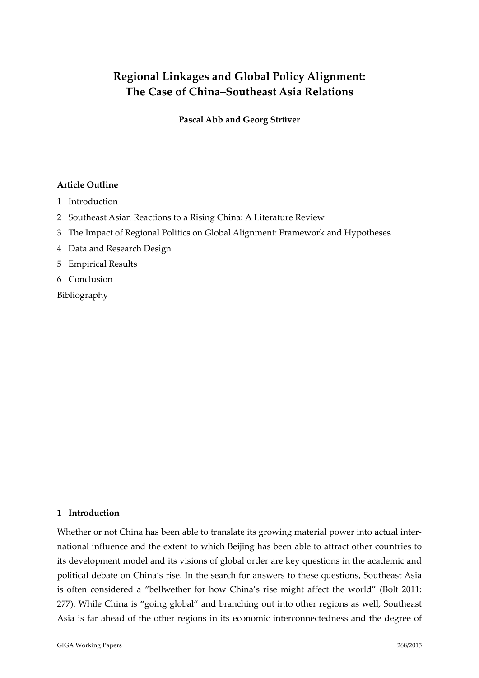# **Regional Linkages and Global Policy Alignment: The Case of China–Southeast Asia Relations**

**Pascal Abb and Georg Strüver**

# **Article Outline**

- 1 Introduction
- 2 Southeast Asian Reactions to a Rising China: A Literature Review
- 3 The Impact of Regional Politics on Global Alignment: Framework and Hypotheses
- 4 Data and Research Design
- 5 Empirical Results
- 6 Conclusion
- Bibliography

# **1 Introduction**

Whether or not China has been able to translate its growing material power into actual international influence and the extent to which Beijing has been able to attract other countries to its development model and its visions of global order are key questions in the academic and political debate on China's rise. In the search for answers to these questions, Southeast Asia is often considered a "bellwether for how China's rise might affect the world" (Bolt 2011: 277). While China is "going global" and branching out into other regions as well, Southeast Asia is far ahead of the other regions in its economic interconnectedness and the degree of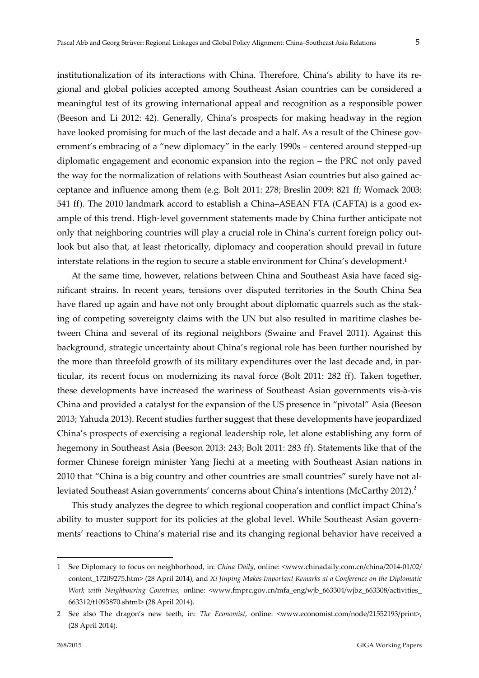institutionalization of its interactions with China. Therefore, China's ability to have its regional and global policies accepted among Southeast Asian countries can be considered a meaningful test of its growing international appeal and recognition as a responsible power (Beeson and Li 2012: 42). Generally, China's prospects for making headway in the region have looked promising for much of the last decade and a half. As a result of the Chinese government's embracing of a "new diplomacy" in the early 1990s – centered around stepped‐up diplomatic engagement and economic expansion into the region – the PRC not only paved the way for the normalization of relations with Southeast Asian countries but also gained ac‐ ceptance and influence among them (e.g. Bolt 2011: 278; Breslin 2009: 821 ff; Womack 2003: 541 ff). The 2010 landmark accord to establish a China–ASEAN FTA (CAFTA) is a good example of this trend. High‐level government statements made by China further anticipate not only that neighboring countries will play a crucial role in China's current foreign policy outlook but also that, at least rhetorically, diplomacy and cooperation should prevail in future interstate relations in the region to secure a stable environment for China's development.1

At the same time, however, relations between China and Southeast Asia have faced significant strains. In recent years, tensions over disputed territories in the South China Sea have flared up again and have not only brought about diplomatic quarrels such as the staking of competing sovereignty claims with the UN but also resulted in maritime clashes between China and several of its regional neighbors (Swaine and Fravel 2011). Against this background, strategic uncertainty about China's regional role has been further nourished by the more than threefold growth of its military expenditures over the last decade and, in particular, its recent focus on modernizing its naval force (Bolt 2011: 282 ff). Taken together, these developments have increased the wariness of Southeast Asian governments vis‐à‐vis China and provided a catalyst for the expansion of the US presence in "pivotal" Asia (Beeson 2013; Yahuda 2013). Recent studies further suggest that these developments have jeopardized China's prospects of exercising a regional leadership role, let alone establishing any form of hegemony in Southeast Asia (Beeson 2013: 243; Bolt 2011: 283 ff). Statements like that of the former Chinese foreign minister Yang Jiechi at a meeting with Southeast Asian nations in 2010 that "China is a big country and other countries are small countries" surely have not al‐ leviated Southeast Asian governments' concerns about China's intentions (McCarthy 2012).<sup>2</sup>

This study analyzes the degree to which regional cooperation and conflict impact China's ability to muster support for its policies at the global level. While Southeast Asian governments' reactions to China's material rise and its changing regional behavior have received a

<u>.</u>

<sup>1</sup> See Diplomacy to focus on neighborhood, in: *China Daily*, online: <www.chinadaily.com.cn/china/2014‐01/02/ content\_17209275.htm> (28 April 2014), and *Xi Jinping Makes Important Remarks at a Conference on the Diplomatic Work with Neighbouring Countries*, online: <www.fmprc.gov.cn/mfa\_eng/wjb\_663304/wjbz\_663308/activities\_ 663312/t1093870.shtml> (28 April 2014).

<sup>2</sup> See also The dragon's new teeth, in: *The Economist*, online: <www.economist.com/node/21552193/print>, (28 April 2014).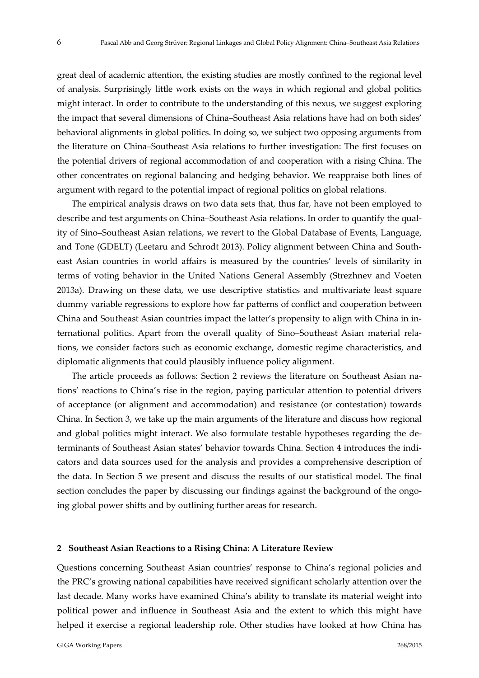great deal of academic attention, the existing studies are mostly confined to the regional level of analysis. Surprisingly little work exists on the ways in which regional and global politics might interact. In order to contribute to the understanding of this nexus, we suggest exploring the impact that several dimensions of China–Southeast Asia relations have had on both sides' behavioral alignments in global politics. In doing so, we subject two opposing arguments from the literature on China–Southeast Asia relations to further investigation: The first focuses on the potential drivers of regional accommodation of and cooperation with a rising China. The other concentrates on regional balancing and hedging behavior. We reappraise both lines of argument with regard to the potential impact of regional politics on global relations.

The empirical analysis draws on two data sets that, thus far, have not been employed to describe and test arguments on China–Southeast Asia relations. In order to quantify the qual‐ ity of Sino–Southeast Asian relations, we revert to the Global Database of Events, Language, and Tone (GDELT) (Leetaru and Schrodt 2013). Policy alignment between China and South‐ east Asian countries in world affairs is measured by the countries' levels of similarity in terms of voting behavior in the United Nations General Assembly (Strezhnev and Voeten 2013a). Drawing on these data, we use descriptive statistics and multivariate least square dummy variable regressions to explore how far patterns of conflict and cooperation between China and Southeast Asian countries impact the latter's propensity to align with China in in‐ ternational politics. Apart from the overall quality of Sino–Southeast Asian material rela‐ tions, we consider factors such as economic exchange, domestic regime characteristics, and diplomatic alignments that could plausibly influence policy alignment.

The article proceeds as follows: Section 2 reviews the literature on Southeast Asian na‐ tions' reactions to China's rise in the region, paying particular attention to potential drivers of acceptance (or alignment and accommodation) and resistance (or contestation) towards China. In Section 3, we take up the main arguments of the literature and discuss how regional and global politics might interact. We also formulate testable hypotheses regarding the de‐ terminants of Southeast Asian states' behavior towards China. Section 4 introduces the indi‐ cators and data sources used for the analysis and provides a comprehensive description of the data. In Section 5 we present and discuss the results of our statistical model. The final section concludes the paper by discussing our findings against the background of the ongoing global power shifts and by outlining further areas for research.

#### **2 Southeast Asian Reactions to a Rising China: A Literature Review**

Questions concerning Southeast Asian countries' response to China's regional policies and the PRC's growing national capabilities have received significant scholarly attention over the last decade. Many works have examined China's ability to translate its material weight into political power and influence in Southeast Asia and the extent to which this might have helped it exercise a regional leadership role. Other studies have looked at how China has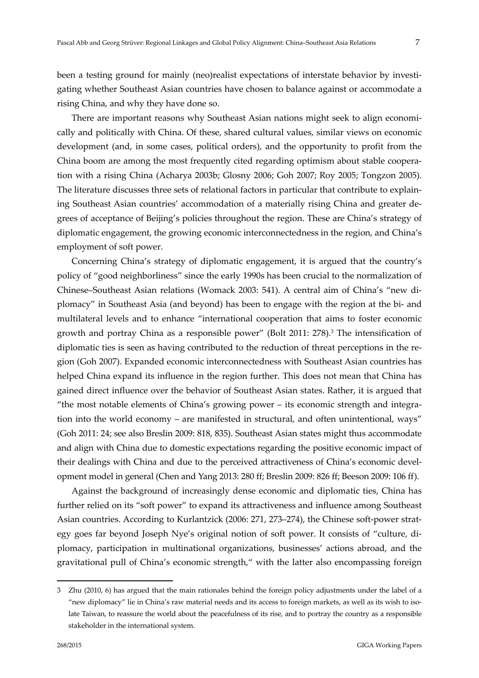been a testing ground for mainly (neo)realist expectations of interstate behavior by investigating whether Southeast Asian countries have chosen to balance against or accommodate a rising China, and why they have done so.

There are important reasons why Southeast Asian nations might seek to align economically and politically with China. Of these, shared cultural values, similar views on economic development (and, in some cases, political orders), and the opportunity to profit from the China boom are among the most frequently cited regarding optimism about stable coopera‐ tion with a rising China (Acharya 2003b; Glosny 2006; Goh 2007; Roy 2005; Tongzon 2005). The literature discusses three sets of relational factors in particular that contribute to explaining Southeast Asian countries' accommodation of a materially rising China and greater de‐ grees of acceptance of Beijing's policies throughout the region. These are China's strategy of diplomatic engagement, the growing economic interconnectedness in the region, and China's employment of soft power.

Concerning China's strategy of diplomatic engagement, it is argued that the country's policy of "good neighborliness" since the early 1990s has been crucial to the normalization of Chinese–Southeast Asian relations (Womack 2003: 541). A central aim of China's "new di‐ plomacy" in Southeast Asia (and beyond) has been to engage with the region at the bi‐ and multilateral levels and to enhance "international cooperation that aims to foster economic growth and portray China as a responsible power" (Bolt 2011: 278).3 The intensification of diplomatic ties is seen as having contributed to the reduction of threat perceptions in the region (Goh 2007). Expanded economic interconnectedness with Southeast Asian countries has helped China expand its influence in the region further. This does not mean that China has gained direct influence over the behavior of Southeast Asian states. Rather, it is argued that "the most notable elements of China's growing power – its economic strength and integra‐ tion into the world economy – are manifested in structural, and often unintentional, ways" (Goh 2011: 24; see also Breslin 2009: 818, 835). Southeast Asian states might thus accommodate and align with China due to domestic expectations regarding the positive economic impact of their dealings with China and due to the perceived attractiveness of China's economic development model in general (Chen and Yang 2013: 280 ff; Breslin 2009: 826 ff; Beeson 2009: 106 ff).

Against the background of increasingly dense economic and diplomatic ties, China has further relied on its "soft power" to expand its attractiveness and influence among Southeast Asian countries. According to Kurlantzick (2006: 271, 273–274), the Chinese soft‐power strat‐ egy goes far beyond Joseph Nye's original notion of soft power. It consists of "culture, di‐ plomacy, participation in multinational organizations, businesses' actions abroad, and the gravitational pull of China's economic strength," with the latter also encompassing foreign

<sup>3</sup> Zhu (2010, 6) has argued that the main rationales behind the foreign policy adjustments under the label of a "new diplomacy" lie in China's raw material needs and its access to foreign markets, as well as its wish to iso‐ late Taiwan, to reassure the world about the peacefulness of its rise, and to portray the country as a responsible stakeholder in the international system.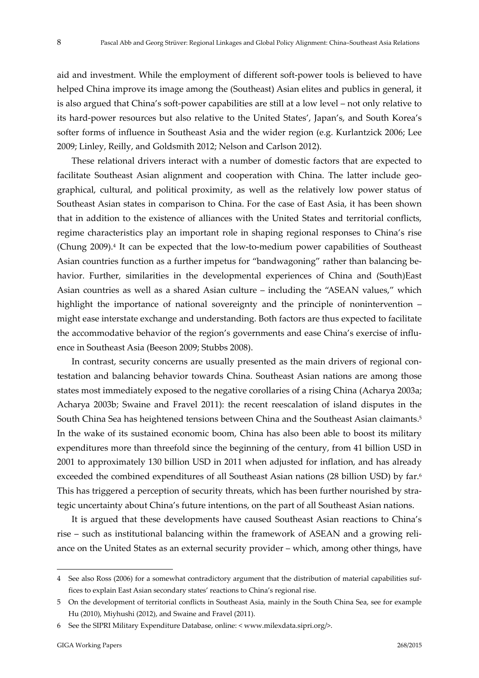aid and investment. While the employment of different soft‐power tools is believed to have helped China improve its image among the (Southeast) Asian elites and publics in general, it is also argued that China's soft‐power capabilities are still at a low level – not only relative to its hard‐power resources but also relative to the United States', Japan's, and South Korea's softer forms of influence in Southeast Asia and the wider region (e.g. Kurlantzick 2006; Lee 2009; Linley, Reilly, and Goldsmith 2012; Nelson and Carlson 2012).

These relational drivers interact with a number of domestic factors that are expected to facilitate Southeast Asian alignment and cooperation with China. The latter include geographical, cultural, and political proximity, as well as the relatively low power status of Southeast Asian states in comparison to China. For the case of East Asia, it has been shown that in addition to the existence of alliances with the United States and territorial conflicts, regime characteristics play an important role in shaping regional responses to China's rise (Chung 2009).4 It can be expected that the low‐to‐medium power capabilities of Southeast Asian countries function as a further impetus for "bandwagoning" rather than balancing be‐ havior. Further, similarities in the developmental experiences of China and (South)East Asian countries as well as a shared Asian culture – including the "ASEAN values," which highlight the importance of national sovereignty and the principle of nonintervention – might ease interstate exchange and understanding. Both factors are thus expected to facilitate the accommodative behavior of the region's governments and ease China's exercise of influence in Southeast Asia (Beeson 2009; Stubbs 2008).

In contrast, security concerns are usually presented as the main drivers of regional contestation and balancing behavior towards China. Southeast Asian nations are among those states most immediately exposed to the negative corollaries of a rising China (Acharya 2003a; Acharya 2003b; Swaine and Fravel 2011): the recent reescalation of island disputes in the South China Sea has heightened tensions between China and the Southeast Asian claimants.5 In the wake of its sustained economic boom, China has also been able to boost its military expenditures more than threefold since the beginning of the century, from 41 billion USD in 2001 to approximately 130 billion USD in 2011 when adjusted for inflation, and has already exceeded the combined expenditures of all Southeast Asian nations (28 billion USD) by far.<sup>6</sup> This has triggered a perception of security threats, which has been further nourished by stra‐ tegic uncertainty about China's future intentions, on the part of all Southeast Asian nations.

It is argued that these developments have caused Southeast Asian reactions to China's rise – such as institutional balancing within the framework of ASEAN and a growing reli‐ ance on the United States as an external security provider – which, among other things, have

<sup>4</sup> See also Ross (2006) for a somewhat contradictory argument that the distribution of material capabilities suffices to explain East Asian secondary states' reactions to China's regional rise.

<sup>5</sup> On the development of territorial conflicts in Southeast Asia, mainly in the South China Sea, see for example Hu (2010), Miyhushi (2012), and Swaine and Fravel (2011).

<sup>6</sup> See the SIPRI Military Expenditure Database, online: < www.milexdata.sipri.org/>.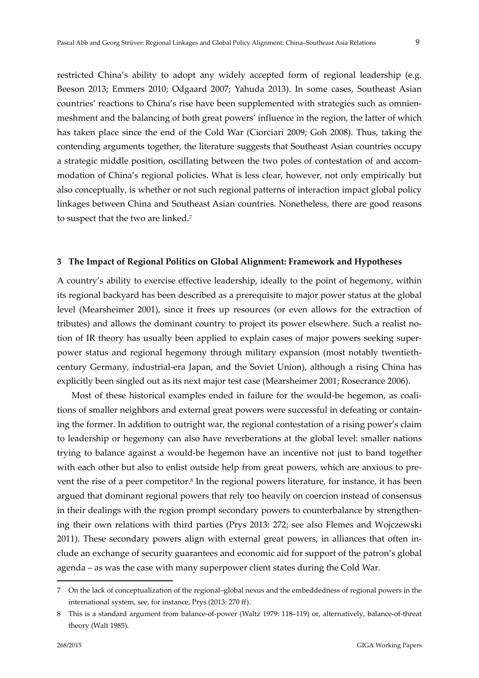restricted China's ability to adopt any widely accepted form of regional leadership (e.g. Beeson 2013; Emmers 2010; Odgaard 2007; Yahuda 2013). In some cases, Southeast Asian countries' reactions to China's rise have been supplemented with strategies such as omnien‐ meshment and the balancing of both great powers' influence in the region, the latter of which has taken place since the end of the Cold War (Ciorciari 2009; Goh 2008). Thus, taking the contending arguments together, the literature suggests that Southeast Asian countries occupy a strategic middle position, oscillating between the two poles of contestation of and accom‐ modation of China's regional policies. What is less clear, however, not only empirically but also conceptually, is whether or not such regional patterns of interaction impact global policy linkages between China and Southeast Asian countries. Nonetheless, there are good reasons to suspect that the two are linked.7

#### **3 The Impact of Regional Politics on Global Alignment: Framework and Hypotheses**

A country's ability to exercise effective leadership, ideally to the point of hegemony, within its regional backyard has been described as a prerequisite to major power status at the global level (Mearsheimer 2001), since it frees up resources (or even allows for the extraction of tributes) and allows the dominant country to project its power elsewhere. Such a realist notion of IR theory has usually been applied to explain cases of major powers seeking super‐ power status and regional hegemony through military expansion (most notably twentieth‐ century Germany, industrial‐era Japan, and the Soviet Union), although a rising China has explicitly been singled out as its next major test case (Mearsheimer 2001; Rosecrance 2006).

Most of these historical examples ended in failure for the would-be hegemon, as coali tions of smaller neighbors and external great powers were successful in defeating or contain‐ ing the former. In addition to outright war, the regional contestation of a rising power's claim to leadership or hegemony can also have reverberations at the global level: smaller nations trying to balance against a would‐be hegemon have an incentive not just to band together with each other but also to enlist outside help from great powers, which are anxious to prevent the rise of a peer competitor.8 In the regional powers literature, for instance, it has been argued that dominant regional powers that rely too heavily on coercion instead of consensus in their dealings with the region prompt secondary powers to counterbalance by strengthening their own relations with third parties (Prys 2013: 272; see also Flemes and Wojczewski 2011). These secondary powers align with external great powers, in alliances that often in‐ clude an exchange of security guarantees and economic aid for support of the patron's global agenda – as was the case with many superpower client states during the Cold War.

<sup>7</sup> On the lack of conceptualization of the regional–global nexus and the embeddedness of regional powers in the international system, see, for instance, Prys (2013: 270 ff).

<sup>8</sup> This is a standard argument from balance-of-power (Waltz 1979: 118–119) or, alternatively, balance-of-threat theory (Walt 1985).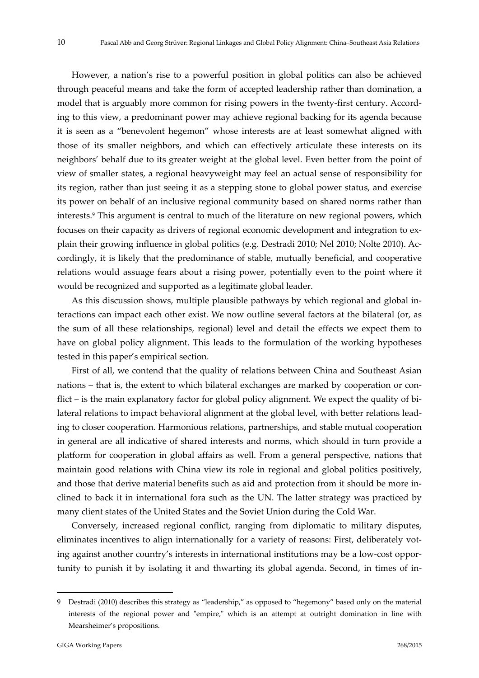However, a nation's rise to a powerful position in global politics can also be achieved through peaceful means and take the form of accepted leadership rather than domination, a model that is arguably more common for rising powers in the twenty-first century. According to this view, a predominant power may achieve regional backing for its agenda because it is seen as a "benevolent hegemon" whose interests are at least somewhat aligned with those of its smaller neighbors, and which can effectively articulate these interests on its neighbors' behalf due to its greater weight at the global level. Even better from the point of view of smaller states, a regional heavyweight may feel an actual sense of responsibility for its region, rather than just seeing it as a stepping stone to global power status, and exercise its power on behalf of an inclusive regional community based on shared norms rather than interests.9 This argument is central to much of the literature on new regional powers, which focuses on their capacity as drivers of regional economic development and integration to explain their growing influence in global politics (e.g. Destradi 2010; Nel 2010; Nolte 2010). Ac‐ cordingly, it is likely that the predominance of stable, mutually beneficial, and cooperative relations would assuage fears about a rising power, potentially even to the point where it would be recognized and supported as a legitimate global leader.

As this discussion shows, multiple plausible pathways by which regional and global in‐ teractions can impact each other exist. We now outline several factors at the bilateral (or, as the sum of all these relationships, regional) level and detail the effects we expect them to have on global policy alignment. This leads to the formulation of the working hypotheses tested in this paper's empirical section.

First of all, we contend that the quality of relations between China and Southeast Asian nations – that is, the extent to which bilateral exchanges are marked by cooperation or con‐ flict – is the main explanatory factor for global policy alignment. We expect the quality of bilateral relations to impact behavioral alignment at the global level, with better relations lead‐ ing to closer cooperation. Harmonious relations, partnerships, and stable mutual cooperation in general are all indicative of shared interests and norms, which should in turn provide a platform for cooperation in global affairs as well. From a general perspective, nations that maintain good relations with China view its role in regional and global politics positively, and those that derive material benefits such as aid and protection from it should be more in‐ clined to back it in international fora such as the UN. The latter strategy was practiced by many client states of the United States and the Soviet Union during the Cold War.

Conversely, increased regional conflict, ranging from diplomatic to military disputes, eliminates incentives to align internationally for a variety of reasons: First, deliberately vot‐ ing against another country's interests in international institutions may be a low‐cost oppor‐ tunity to punish it by isolating it and thwarting its global agenda. Second, in times of in‐

<sup>9</sup> Destradi (2010) describes this strategy as "leadership," as opposed to "hegemony" based only on the material interests of the regional power and "empire," which is an attempt at outright domination in line with Mearsheimer's propositions.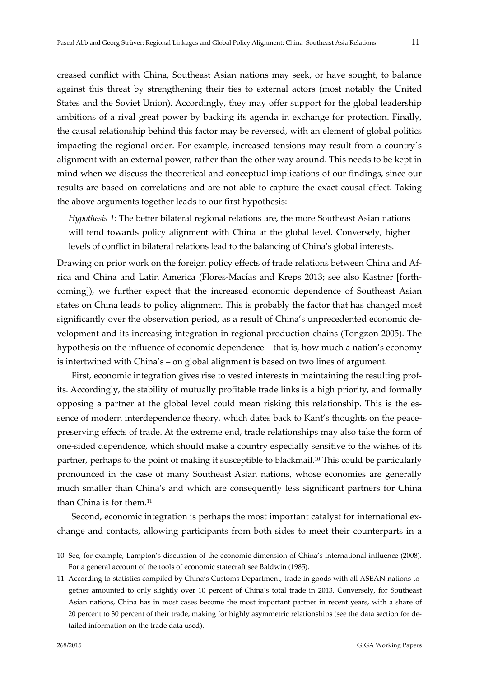creased conflict with China, Southeast Asian nations may seek, or have sought, to balance against this threat by strengthening their ties to external actors (most notably the United States and the Soviet Union). Accordingly, they may offer support for the global leadership ambitions of a rival great power by backing its agenda in exchange for protection. Finally, the causal relationship behind this factor may be reversed, with an element of global politics impacting the regional order. For example, increased tensions may result from a country´s alignment with an external power, rather than the other way around. This needs to be kept in mind when we discuss the theoretical and conceptual implications of our findings, since our results are based on correlations and are not able to capture the exact causal effect. Taking the above arguments together leads to our first hypothesis:

*Hypothesis 1:* The better bilateral regional relations are, the more Southeast Asian nations will tend towards policy alignment with China at the global level. Conversely, higher levels of conflict in bilateral relations lead to the balancing of China's global interests.

Drawing on prior work on the foreign policy effects of trade relations between China and Africa and China and Latin America (Flores‐Macías and Kreps 2013; see also Kastner [forth‐ coming]), we further expect that the increased economic dependence of Southeast Asian states on China leads to policy alignment. This is probably the factor that has changed most significantly over the observation period, as a result of China's unprecedented economic de‐ velopment and its increasing integration in regional production chains (Tongzon 2005). The hypothesis on the influence of economic dependence – that is, how much a nation's economy is intertwined with China's – on global alignment is based on two lines of argument.

First, economic integration gives rise to vested interests in maintaining the resulting profits. Accordingly, the stability of mutually profitable trade links is a high priority, and formally opposing a partner at the global level could mean risking this relationship. This is the es‐ sence of modern interdependence theory, which dates back to Kant's thoughts on the peacepreserving effects of trade. At the extreme end, trade relationships may also take the form of one‐sided dependence, which should make a country especially sensitive to the wishes of its partner, perhaps to the point of making it susceptible to blackmail.<sup>10</sup> This could be particularly pronounced in the case of many Southeast Asian nations, whose economies are generally much smaller than China's and which are consequently less significant partners for China than China is for them.11

Second, economic integration is perhaps the most important catalyst for international ex‐ change and contacts, allowing participants from both sides to meet their counterparts in a

<sup>10</sup> See, for example, Lampton's discussion of the economic dimension of China's international influence (2008). For a general account of the tools of economic statecraft see Baldwin (1985).

<sup>11</sup> According to statistics compiled by China's Customs Department, trade in goods with all ASEAN nations to‐ gether amounted to only slightly over 10 percent of China's total trade in 2013. Conversely, for Southeast Asian nations, China has in most cases become the most important partner in recent years, with a share of 20 percent to 30 percent of their trade, making for highly asymmetric relationships (see the data section for de‐ tailed information on the trade data used).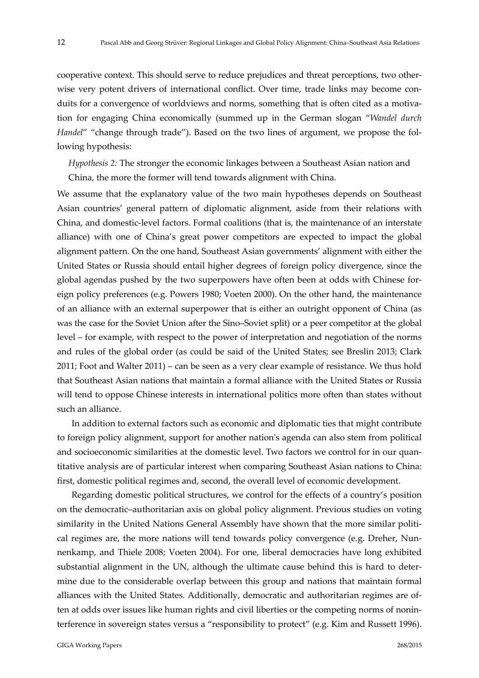cooperative context. This should serve to reduce prejudices and threat perceptions, two other‐ wise very potent drivers of international conflict. Over time, trade links may become conduits for a convergence of worldviews and norms, something that is often cited as a motivation for engaging China economically (summed up in the German slogan "*Wandel durch Handel"* "change through trade"). Based on the two lines of argument, we propose the following hypothesis:

*Hypothesis 2:* The stronger the economic linkages between a Southeast Asian nation and China, the more the former will tend towards alignment with China.

We assume that the explanatory value of the two main hypotheses depends on Southeast Asian countries' general pattern of diplomatic alignment, aside from their relations with China, and domestic‐level factors. Formal coalitions (that is, the maintenance of an interstate alliance) with one of China's great power competitors are expected to impact the global alignment pattern. On the one hand, Southeast Asian governments' alignment with either the United States or Russia should entail higher degrees of foreign policy divergence, since the global agendas pushed by the two superpowers have often been at odds with Chinese for‐ eign policy preferences (e.g. Powers 1980; Voeten 2000). On the other hand, the maintenance of an alliance with an external superpower that is either an outright opponent of China (as was the case for the Soviet Union after the Sino–Soviet split) or a peer competitor at the global level – for example, with respect to the power of interpretation and negotiation of the norms and rules of the global order (as could be said of the United States; see Breslin 2013; Clark 2011; Foot and Walter 2011) – can be seen as a very clear example of resistance. We thus hold that Southeast Asian nations that maintain a formal alliance with the United States or Russia will tend to oppose Chinese interests in international politics more often than states without such an alliance.

In addition to external factors such as economic and diplomatic ties that might contribute to foreign policy alignment, support for another nationʹs agenda can also stem from political and socioeconomic similarities at the domestic level. Two factors we control for in our quantitative analysis are of particular interest when comparing Southeast Asian nations to China: first, domestic political regimes and, second, the overall level of economic development.

Regarding domestic political structures, we control for the effects of a country's position on the democratic–authoritarian axis on global policy alignment. Previous studies on voting similarity in the United Nations General Assembly have shown that the more similar political regimes are, the more nations will tend towards policy convergence (e.g. Dreher, Nunnenkamp, and Thiele 2008; Voeten 2004). For one, liberal democracies have long exhibited substantial alignment in the UN, although the ultimate cause behind this is hard to determine due to the considerable overlap between this group and nations that maintain formal alliances with the United States. Additionally, democratic and authoritarian regimes are of‐ ten at odds over issues like human rights and civil liberties or the competing norms of nonin‐ terference in sovereign states versus a "responsibility to protect" (e.g. Kim and Russett 1996).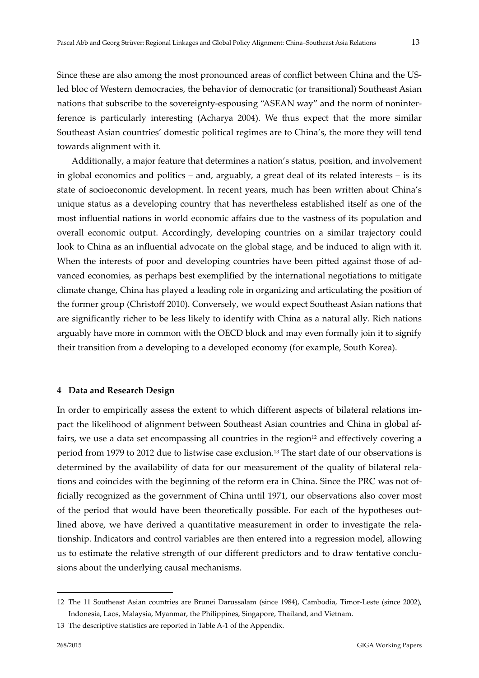Since these are also among the most pronounced areas of conflict between China and the US‐ led bloc of Western democracies, the behavior of democratic (or transitional) Southeast Asian nations that subscribe to the sovereignty-espousing "ASEAN way" and the norm of noninterference is particularly interesting (Acharya 2004). We thus expect that the more similar Southeast Asian countries' domestic political regimes are to China's, the more they will tend towards alignment with it.

Additionally, a major feature that determines a nation's status, position, and involvement in global economics and politics – and, arguably, a great deal of its related interests – is its state of socioeconomic development. In recent years, much has been written about China's unique status as a developing country that has nevertheless established itself as one of the most influential nations in world economic affairs due to the vastness of its population and overall economic output. Accordingly, developing countries on a similar trajectory could look to China as an influential advocate on the global stage, and be induced to align with it. When the interests of poor and developing countries have been pitted against those of advanced economies, as perhaps best exemplified by the international negotiations to mitigate climate change, China has played a leading role in organizing and articulating the position of the former group (Christoff 2010). Conversely, we would expect Southeast Asian nations that are significantly richer to be less likely to identify with China as a natural ally. Rich nations arguably have more in common with the OECD block and may even formally join it to signify their transition from a developing to a developed economy (for example, South Korea).

#### **4 Data and Research Design**

In order to empirically assess the extent to which different aspects of bilateral relations im‐ pact the likelihood of alignment between Southeast Asian countries and China in global af‐ fairs, we use a data set encompassing all countries in the region $12$  and effectively covering a period from 1979 to 2012 due to listwise case exclusion.<sup>13</sup> The start date of our observations is determined by the availability of data for our measurement of the quality of bilateral rela‐ tions and coincides with the beginning of the reform era in China. Since the PRC was not of‐ ficially recognized as the government of China until 1971, our observations also cover most of the period that would have been theoretically possible. For each of the hypotheses out‐ lined above, we have derived a quantitative measurement in order to investigate the relationship. Indicators and control variables are then entered into a regression model, allowing us to estimate the relative strength of our different predictors and to draw tentative conclusions about the underlying causal mechanisms.

<sup>12</sup> The 11 Southeast Asian countries are Brunei Darussalam (since 1984), Cambodia, Timor‐Leste (since 2002), Indonesia, Laos, Malaysia, Myanmar, the Philippines, Singapore, Thailand, and Vietnam.

<sup>13</sup> The descriptive statistics are reported in Table A‐1 of the Appendix.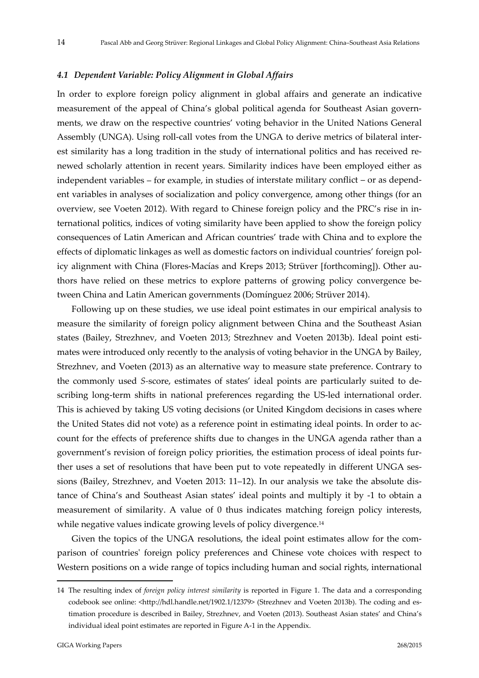#### *4.1 Dependent Variable: Policy Alignment in Global Affairs*

In order to explore foreign policy alignment in global affairs and generate an indicative measurement of the appeal of China's global political agenda for Southeast Asian governments, we draw on the respective countries' voting behavior in the United Nations General Assembly (UNGA). Using roll‐call votes from the UNGA to derive metrics of bilateral inter‐ est similarity has a long tradition in the study of international politics and has received re‐ newed scholarly attention in recent years. Similarity indices have been employed either as independent variables – for example, in studies of interstate military conflict – or as depend‐ ent variables in analyses of socialization and policy convergence, among other things (for an overview, see Voeten 2012). With regard to Chinese foreign policy and the PRC's rise in in‐ ternational politics, indices of voting similarity have been applied to show the foreign policy consequences of Latin American and African countries' trade with China and to explore the effects of diplomatic linkages as well as domestic factors on individual countries' foreign pol‐ icy alignment with China (Flores‐Macías and Kreps 2013; Strüver [forthcoming]). Other au‐ thors have relied on these metrics to explore patterns of growing policy convergence be‐ tween China and Latin American governments (Domínguez 2006; Strüver 2014).

Following up on these studies, we use ideal point estimates in our empirical analysis to measure the similarity of foreign policy alignment between China and the Southeast Asian states (Bailey, Strezhnev, and Voeten 2013; Strezhnev and Voeten 2013b). Ideal point estimates were introduced only recently to the analysis of voting behavior in the UNGA by Bailey, Strezhnev, and Voeten (2013) as an alternative way to measure state preference. Contrary to the commonly used *S‐*score, estimates of states' ideal points are particularly suited to de‐ scribing long‐term shifts in national preferences regarding the US‐led international order. This is achieved by taking US voting decisions (or United Kingdom decisions in cases where the United States did not vote) as a reference point in estimating ideal points. In order to account for the effects of preference shifts due to changes in the UNGA agenda rather than a government's revision of foreign policy priorities, the estimation process of ideal points fur‐ ther uses a set of resolutions that have been put to vote repeatedly in different UNGA sessions (Bailey, Strezhnev, and Voeten 2013: 11–12). In our analysis we take the absolute dis‐ tance of China's and Southeast Asian states' ideal points and multiply it by ‐1 to obtain a measurement of similarity. A value of 0 thus indicates matching foreign policy interests, while negative values indicate growing levels of policy divergence.<sup>14</sup>

Given the topics of the UNGA resolutions, the ideal point estimates allow for the comparison of countriesʹ foreign policy preferences and Chinese vote choices with respect to Western positions on a wide range of topics including human and social rights, international

<sup>14</sup> The resulting index of *foreign policy interest similarity* is reported in Figure 1. The data and a corresponding codebook see online: <http://hdl.handle.net/1902.1/12379> (Strezhnev and Voeten 2013b). The coding and estimation procedure is described in Bailey, Strezhnev, and Voeten (2013). Southeast Asian states' and China's individual ideal point estimates are reported in Figure A‐1 in the Appendix.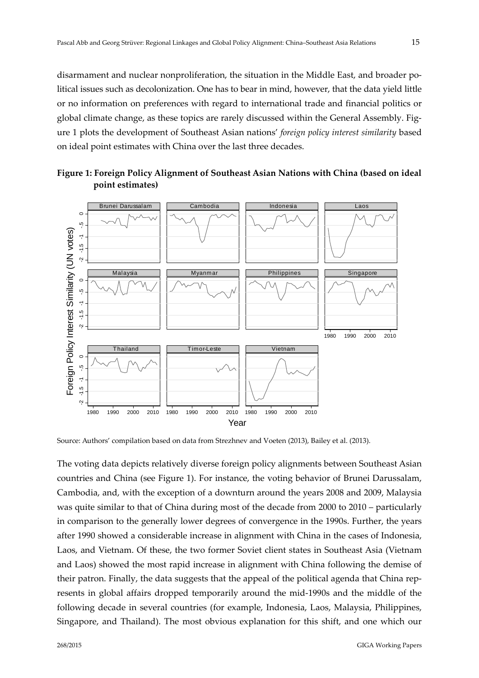disarmament and nuclear nonproliferation, the situation in the Middle East, and broader political issues such as decolonization. One has to bear in mind, however, that the data yield little or no information on preferences with regard to international trade and financial politics or global climate change, as these topics are rarely discussed within the General Assembly. Figure 1 plots the development of Southeast Asian nations' *foreign policy interest similarity* based on ideal point estimates with China over the last three decades.



**Figure 1: Foreign Policy Alignment of Southeast Asian Nations with China (based on ideal point estimates)**

Source: Authors' compilation based on data from Strezhnev and Voeten (2013), Bailey et al. (2013).

The voting data depicts relatively diverse foreign policy alignments between Southeast Asian countries and China (see Figure 1). For instance, the voting behavior of Brunei Darussalam, Cambodia, and, with the exception of a downturn around the years 2008 and 2009, Malaysia was quite similar to that of China during most of the decade from 2000 to 2010 – particularly in comparison to the generally lower degrees of convergence in the 1990s. Further, the years after 1990 showed a considerable increase in alignment with China in the cases of Indonesia, Laos, and Vietnam. Of these, the two former Soviet client states in Southeast Asia (Vietnam and Laos) showed the most rapid increase in alignment with China following the demise of their patron. Finally, the data suggests that the appeal of the political agenda that China represents in global affairs dropped temporarily around the mid‐1990s and the middle of the following decade in several countries (for example, Indonesia, Laos, Malaysia, Philippines,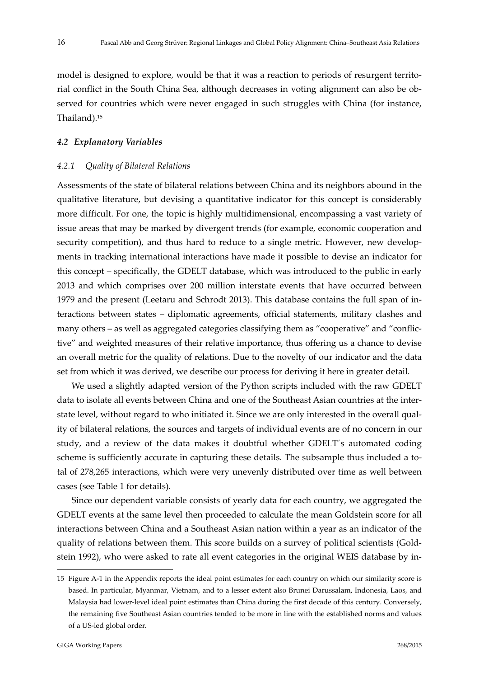model is designed to explore, would be that it was a reaction to periods of resurgent territorial conflict in the South China Sea, although decreases in voting alignment can also be ob‐ served for countries which were never engaged in such struggles with China (for instance, Thailand).15

#### *4.2 Explanatory Variables*

#### *4.2.1 Quality of Bilateral Relations*

Assessments of the state of bilateral relations between China and its neighbors abound in the qualitative literature, but devising a quantitative indicator for this concept is considerably more difficult. For one, the topic is highly multidimensional, encompassing a vast variety of issue areas that may be marked by divergent trends (for example, economic cooperation and security competition), and thus hard to reduce to a single metric. However, new developments in tracking international interactions have made it possible to devise an indicator for this concept – specifically, the GDELT database, which was introduced to the public in early 2013 and which comprises over 200 million interstate events that have occurred between 1979 and the present (Leetaru and Schrodt 2013). This database contains the full span of in‐ teractions between states – diplomatic agreements, official statements, military clashes and many others – as well as aggregated categories classifying them as "cooperative" and "conflictive" and weighted measures of their relative importance, thus offering us a chance to devise an overall metric for the quality of relations. Due to the novelty of our indicator and the data set from which it was derived, we describe our process for deriving it here in greater detail.

We used a slightly adapted version of the Python scripts included with the raw GDELT data to isolate all events between China and one of the Southeast Asian countries at the interstate level, without regard to who initiated it. Since we are only interested in the overall quality of bilateral relations, the sources and targets of individual events are of no concern in our study, and a review of the data makes it doubtful whether GDELT´s automated coding scheme is sufficiently accurate in capturing these details. The subsample thus included a total of 278,265 interactions, which were very unevenly distributed over time as well between cases (see Table 1 for details).

Since our dependent variable consists of yearly data for each country, we aggregated the GDELT events at the same level then proceeded to calculate the mean Goldstein score for all interactions between China and a Southeast Asian nation within a year as an indicator of the quality of relations between them. This score builds on a survey of political scientists (Gold‐ stein 1992), who were asked to rate all event categories in the original WEIS database by in‐

<sup>15</sup> Figure A-1 in the Appendix reports the ideal point estimates for each country on which our similarity score is based. In particular, Myanmar, Vietnam, and to a lesser extent also Brunei Darussalam, Indonesia, Laos, and Malaysia had lower-level ideal point estimates than China during the first decade of this century. Conversely, the remaining five Southeast Asian countries tended to be more in line with the established norms and values of a US‐led global order.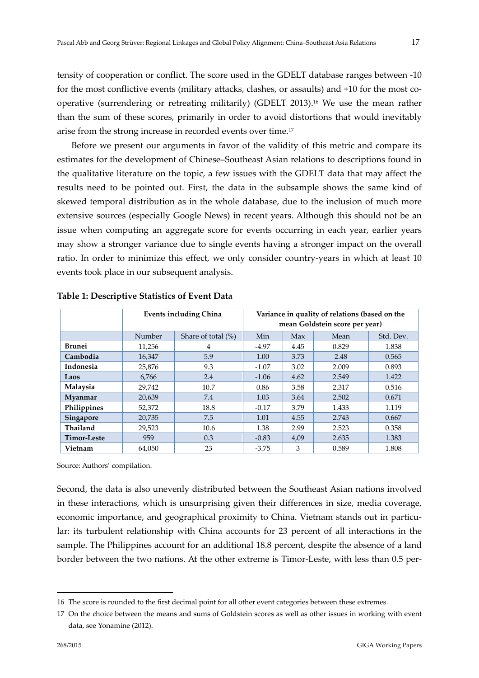tensity of cooperation or conflict. The score used in the GDELT database ranges between ‐10 for the most conflictive events (military attacks, clashes, or assaults) and +10 for the most cooperative (surrendering or retreating militarily) (GDELT 2013).16 We use the mean rather than the sum of these scores, primarily in order to avoid distortions that would inevitably arise from the strong increase in recorded events over time.17

Before we present our arguments in favor of the validity of this metric and compare its estimates for the development of Chinese–Southeast Asian relations to descriptions found in the qualitative literature on the topic, a few issues with the GDELT data that may affect the results need to be pointed out. First, the data in the subsample shows the same kind of skewed temporal distribution as in the whole database, due to the inclusion of much more extensive sources (especially Google News) in recent years. Although this should not be an issue when computing an aggregate score for events occurring in each year, earlier years may show a stronger variance due to single events having a stronger impact on the overall ratio. In order to minimize this effect, we only consider country-years in which at least 10 events took place in our subsequent analysis.

|                    | <b>Events including China</b> |                       | Variance in quality of relations (based on the<br>mean Goldstein score per year) |      |       |           |
|--------------------|-------------------------------|-----------------------|----------------------------------------------------------------------------------|------|-------|-----------|
|                    | Number                        | Share of total $(\%)$ | Min                                                                              | Max  | Mean  | Std. Dev. |
| <b>Brunei</b>      | 11,256                        | 4                     | $-4.97$                                                                          | 4.45 | 0.829 | 1.838     |
| Cambodia           | 16,347                        | 5.9                   | 1.00                                                                             | 3.73 | 2.48  | 0.565     |
| Indonesia          | 25,876                        | 9.3                   | $-1.07$                                                                          | 3.02 | 2.009 | 0.893     |
| Laos               | 6,766                         | 2.4                   | $-1.06$                                                                          | 4.62 | 2.549 | 1.422     |
| Malaysia           | 29,742                        | 10.7                  | 0.86                                                                             | 3.58 | 2.317 | 0.516     |
| Myanmar            | 20,639                        | 7.4                   | 1.03                                                                             | 3.64 | 2.502 | 0.671     |
| Philippines        | 52,372                        | 18.8                  | $-0.17$                                                                          | 3.79 | 1.433 | 1.119     |
| Singapore          | 20,735                        | 7.5                   | 1.01                                                                             | 4.55 | 2.743 | 0.667     |
| <b>Thailand</b>    | 29,523                        | 10.6                  | 1.38                                                                             | 2.99 | 2.523 | 0.358     |
| <b>Timor-Leste</b> | 959                           | 0.3                   | $-0.83$                                                                          | 4,09 | 2.635 | 1.383     |
| Vietnam            | 64,050                        | 23                    | $-3.75$                                                                          | 3    | 0.589 | 1.808     |

**Table 1: Descriptive Statistics of Event Data**

Source: Authors' compilation.

Second, the data is also unevenly distributed between the Southeast Asian nations involved in these interactions, which is unsurprising given their differences in size, media coverage, economic importance, and geographical proximity to China. Vietnam stands out in particular: its turbulent relationship with China accounts for 23 percent of all interactions in the sample. The Philippines account for an additional 18.8 percent, despite the absence of a land border between the two nations. At the other extreme is Timor-Leste, with less than 0.5 per-

<sup>16</sup> The score is rounded to the first decimal point for all other event categories between these extremes.

<sup>17</sup> On the choice between the means and sums of Goldstein scores as well as other issues in working with event data, see Yonamine (2012).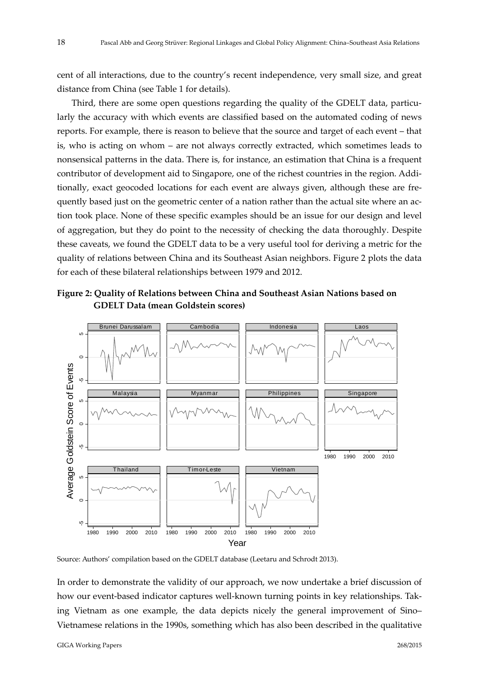cent of all interactions, due to the country's recent independence, very small size, and great distance from China (see Table 1 for details).

Third, there are some open questions regarding the quality of the GDELT data, particularly the accuracy with which events are classified based on the automated coding of news reports. For example, there is reason to believe that the source and target of each event – that is, who is acting on whom – are not always correctly extracted, which sometimes leads to nonsensical patterns in the data. There is, for instance, an estimation that China is a frequent contributor of development aid to Singapore, one of the richest countries in the region. Additionally, exact geocoded locations for each event are always given, although these are frequently based just on the geometric center of a nation rather than the actual site where an action took place. None of these specific examples should be an issue for our design and level of aggregation, but they do point to the necessity of checking the data thoroughly. Despite these caveats, we found the GDELT data to be a very useful tool for deriving a metric for the quality of relations between China and its Southeast Asian neighbors. Figure 2 plots the data for each of these bilateral relationships between 1979 and 2012.





Source: Authors' compilation based on the GDELT database (Leetaru and Schrodt 2013).

In order to demonstrate the validity of our approach, we now undertake a brief discussion of how our event-based indicator captures well-known turning points in key relationships. Taking Vietnam as one example, the data depicts nicely the general improvement of Sino–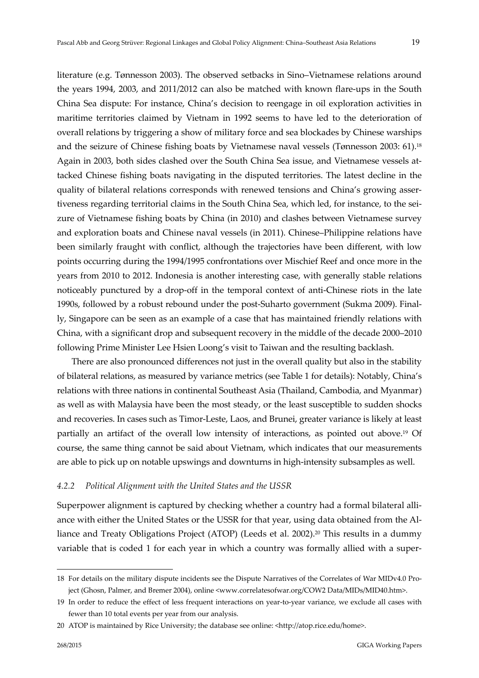literature (e.g. Tønnesson 2003). The observed setbacks in Sino–Vietnamese relations around the years 1994, 2003, and 2011/2012 can also be matched with known flare‐ups in the South China Sea dispute: For instance, China's decision to reengage in oil exploration activities in maritime territories claimed by Vietnam in 1992 seems to have led to the deterioration of overall relations by triggering a show of military force and sea blockades by Chinese warships and the seizure of Chinese fishing boats by Vietnamese naval vessels (Tønnesson 2003: 61).18 Again in 2003, both sides clashed over the South China Sea issue, and Vietnamese vessels at‐ tacked Chinese fishing boats navigating in the disputed territories. The latest decline in the quality of bilateral relations corresponds with renewed tensions and China's growing asser‐ tiveness regarding territorial claims in the South China Sea, which led, for instance, to the seizure of Vietnamese fishing boats by China (in 2010) and clashes between Vietnamese survey and exploration boats and Chinese naval vessels (in 2011). Chinese–Philippine relations have been similarly fraught with conflict, although the trajectories have been different, with low points occurring during the 1994/1995 confrontations over Mischief Reef and once more in the years from 2010 to 2012. Indonesia is another interesting case, with generally stable relations noticeably punctured by a drop‐off in the temporal context of anti‐Chinese riots in the late 1990s, followed by a robust rebound under the post‐Suharto government (Sukma 2009). Final‐ ly, Singapore can be seen as an example of a case that has maintained friendly relations with China, with a significant drop and subsequent recovery in the middle of the decade 2000–2010 following Prime Minister Lee Hsien Loong's visit to Taiwan and the resulting backlash.

There are also pronounced differences not just in the overall quality but also in the stability of bilateral relations, as measured by variance metrics (see Table 1 for details): Notably, China's relations with three nations in continental Southeast Asia (Thailand, Cambodia, and Myanmar) as well as with Malaysia have been the most steady, or the least susceptible to sudden shocks and recoveries. In cases such as Timor‐Leste, Laos, and Brunei, greater variance is likely at least partially an artifact of the overall low intensity of interactions, as pointed out above.19 Of course, the same thing cannot be said about Vietnam, which indicates that our measurements are able to pick up on notable upswings and downturns in high-intensity subsamples as well.

#### *4.2.2 Political Alignment with the United States and the USSR*

Superpower alignment is captured by checking whether a country had a formal bilateral alliance with either the United States or the USSR for that year, using data obtained from the Al‐ liance and Treaty Obligations Project (ATOP) (Leeds et al. 2002).20 This results in a dummy variable that is coded 1 for each year in which a country was formally allied with a super‐

<sup>18</sup> For details on the military dispute incidents see the Dispute Narratives of the Correlates of War MIDv4.0 Pro‐ ject (Ghosn, Palmer, and Bremer 2004), online <www.correlatesofwar.org/COW2 Data/MIDs/MID40.htm>.

<sup>19</sup> In order to reduce the effect of less frequent interactions on year-to-year variance, we exclude all cases with fewer than 10 total events per year from our analysis.

<sup>20</sup> ATOP is maintained by Rice University; the database see online: <http://atop.rice.edu/home>.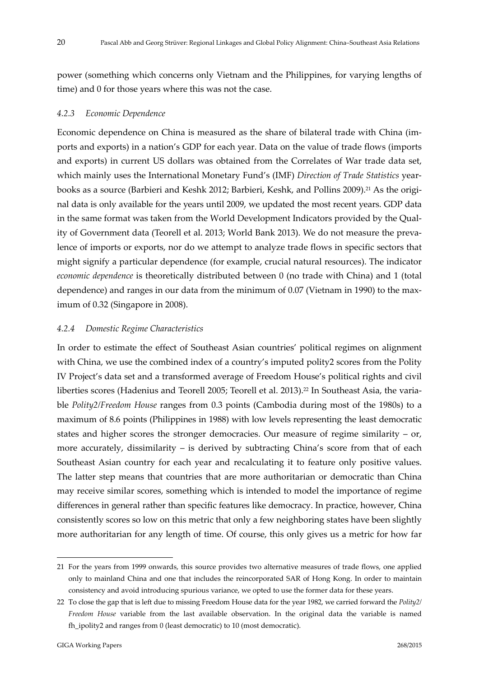power (something which concerns only Vietnam and the Philippines, for varying lengths of time) and 0 for those years where this was not the case.

## *4.2.3 Economic Dependence*

Economic dependence on China is measured as the share of bilateral trade with China (im‐ ports and exports) in a nation's GDP for each year. Data on the value of trade flows (imports and exports) in current US dollars was obtained from the Correlates of War trade data set, which mainly uses the International Monetary Fund's (IMF) *Direction of Trade Statistics* year‐ books as a source (Barbieri and Keshk 2012; Barbieri, Keshk, and Pollins 2009).<sup>21</sup> As the original data is only available for the years until 2009, we updated the most recent years. GDP data in the same format was taken from the World Development Indicators provided by the Quality of Government data (Teorell et al. 2013; World Bank 2013). We do not measure the prevalence of imports or exports, nor do we attempt to analyze trade flows in specific sectors that might signify a particular dependence (for example, crucial natural resources). The indicator *economic dependence* is theoretically distributed between 0 (no trade with China) and 1 (total dependence) and ranges in our data from the minimum of 0.07 (Vietnam in 1990) to the max‐ imum of 0.32 (Singapore in 2008).

## *4.2.4 Domestic Regime Characteristics*

In order to estimate the effect of Southeast Asian countries' political regimes on alignment with China, we use the combined index of a country's imputed polity2 scores from the Polity IV Project's data set and a transformed average of Freedom House's political rights and civil liberties scores (Hadenius and Teorell 2005; Teorell et al. 2013).22 In Southeast Asia, the varia‐ ble *Polity2/Freedom House* ranges from 0.3 points (Cambodia during most of the 1980s) to a maximum of 8.6 points (Philippines in 1988) with low levels representing the least democratic states and higher scores the stronger democracies. Our measure of regime similarity – or, more accurately, dissimilarity – is derived by subtracting China's score from that of each Southeast Asian country for each year and recalculating it to feature only positive values. The latter step means that countries that are more authoritarian or democratic than China may receive similar scores, something which is intended to model the importance of regime differences in general rather than specific features like democracy. In practice, however, China consistently scores so low on this metric that only a few neighboring states have been slightly more authoritarian for any length of time. Of course, this only gives us a metric for how far

<u>.</u>

<sup>21</sup> For the years from 1999 onwards, this source provides two alternative measures of trade flows, one applied only to mainland China and one that includes the reincorporated SAR of Hong Kong. In order to maintain consistency and avoid introducing spurious variance, we opted to use the former data for these years.

<sup>22</sup> To close the gap that is left due to missing Freedom House data for the year 1982, we carried forward the *Polity2/ Freedom House* variable from the last available observation. In the original data the variable is named fh ipolity2 and ranges from 0 (least democratic) to 10 (most democratic).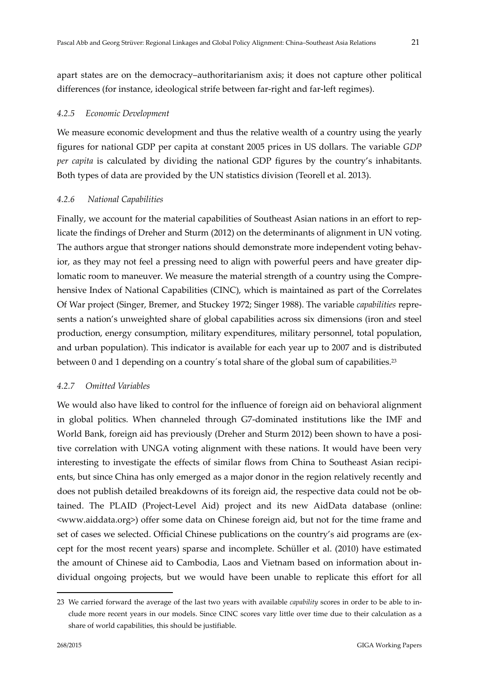apart states are on the democracy–authoritarianism axis; it does not capture other political differences (for instance, ideological strife between far-right and far-left regimes).

# *4.2.5 Economic Development*

We measure economic development and thus the relative wealth of a country using the yearly figures for national GDP per capita at constant 2005 prices in US dollars. The variable *GDP per capita* is calculated by dividing the national GDP figures by the country's inhabitants. Both types of data are provided by the UN statistics division (Teorell et al. 2013). 

# *4.2.6 National Capabilities*

Finally, we account for the material capabilities of Southeast Asian nations in an effort to replicate the findings of Dreher and Sturm (2012) on the determinants of alignment in UN voting. The authors argue that stronger nations should demonstrate more independent voting behavior, as they may not feel a pressing need to align with powerful peers and have greater diplomatic room to maneuver. We measure the material strength of a country using the Comprehensive Index of National Capabilities (CINC), which is maintained as part of the Correlates Of War project (Singer, Bremer, and Stuckey 1972; Singer 1988). The variable *capabilities* repre‐ sents a nation's unweighted share of global capabilities across six dimensions (iron and steel production, energy consumption, military expenditures, military personnel, total population, and urban population). This indicator is available for each year up to 2007 and is distributed between 0 and 1 depending on a country's total share of the global sum of capabilities.<sup>23</sup>

# *4.2.7 Omitted Variables*

We would also have liked to control for the influence of foreign aid on behavioral alignment in global politics. When channeled through G7‐dominated institutions like the IMF and World Bank, foreign aid has previously (Dreher and Sturm 2012) been shown to have a positive correlation with UNGA voting alignment with these nations. It would have been very interesting to investigate the effects of similar flows from China to Southeast Asian recipi ents, but since China has only emerged as a major donor in the region relatively recently and does not publish detailed breakdowns of its foreign aid, the respective data could not be ob‐ tained. The PLAID (Project‐Level Aid) project and its new AidData database (online: <www.aiddata.org>) offer some data on Chinese foreign aid, but not for the time frame and set of cases we selected. Official Chinese publications on the country's aid programs are (except for the most recent years) sparse and incomplete. Schüller et al. (2010) have estimated the amount of Chinese aid to Cambodia, Laos and Vietnam based on information about in‐ dividual ongoing projects, but we would have been unable to replicate this effort for all

<sup>23</sup> We carried forward the average of the last two years with available *capability* scores in order to be able to in‐ clude more recent years in our models. Since CINC scores vary little over time due to their calculation as a share of world capabilities, this should be justifiable.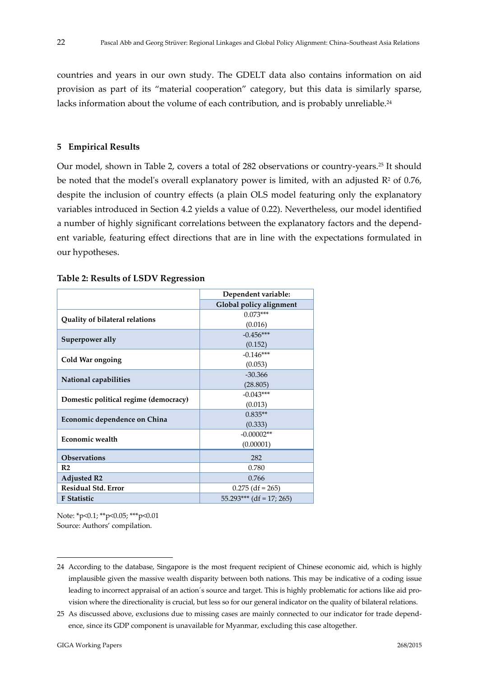countries and years in our own study. The GDELT data also contains information on aid provision as part of its "material cooperation" category, but this data is similarly sparse, lacks information about the volume of each contribution, and is probably unreliable.<sup>24</sup>

#### **5 Empirical Results**

Our model, shown in Table 2, covers a total of 282 observations or country‐years.25 It should be noted that the model's overall explanatory power is limited, with an adjusted  $\mathbb{R}^2$  of 0.76, despite the inclusion of country effects (a plain OLS model featuring only the explanatory variables introduced in Section 4.2 yields a value of 0.22). Nevertheless, our model identified a number of highly significant correlations between the explanatory factors and the depend‐ ent variable, featuring effect directions that are in line with the expectations formulated in our hypotheses.

|                                       | Dependent variable:        |  |  |  |
|---------------------------------------|----------------------------|--|--|--|
|                                       |                            |  |  |  |
|                                       | Global policy alignment    |  |  |  |
| Quality of bilateral relations        | $0.073***$                 |  |  |  |
|                                       | (0.016)                    |  |  |  |
|                                       | $-0.456***$                |  |  |  |
| Superpower ally                       | (0.152)                    |  |  |  |
|                                       | $-0.146***$                |  |  |  |
| Cold War ongoing                      | (0.053)                    |  |  |  |
|                                       | $-30.366$                  |  |  |  |
| National capabilities                 | (28.805)                   |  |  |  |
|                                       | $-0.043***$                |  |  |  |
| Domestic political regime (democracy) | (0.013)                    |  |  |  |
|                                       | $0.835**$                  |  |  |  |
| Economic dependence on China          | (0.333)                    |  |  |  |
| <b>Economic wealth</b>                | $-0.00002**$               |  |  |  |
|                                       | (0.00001)                  |  |  |  |
| <b>Observations</b>                   | 282                        |  |  |  |
| R <sub>2</sub>                        | 0.780                      |  |  |  |
| <b>Adjusted R2</b>                    | 0.766                      |  |  |  |
| <b>Residual Std. Error</b>            | $0.275$ (df = 265)         |  |  |  |
| <b>F</b> Statistic                    | $55.293***$ (df = 17; 265) |  |  |  |

#### **Table 2: Results of LSDV Regression**

Note: \*p<0.1; \*\*p<0.05; \*\*\*p<0.01 Source: Authors' compilation.

<u>.</u>

<sup>24</sup> According to the database, Singapore is the most frequent recipient of Chinese economic aid, which is highly implausible given the massive wealth disparity between both nations. This may be indicative of a coding issue leading to incorrect appraisal of an action´s source and target. This is highly problematic for actions like aid pro‐ vision where the directionality is crucial, but less so for our general indicator on the quality of bilateral relations.

<sup>25</sup> As discussed above, exclusions due to missing cases are mainly connected to our indicator for trade depend‐ ence, since its GDP component is unavailable for Myanmar, excluding this case altogether.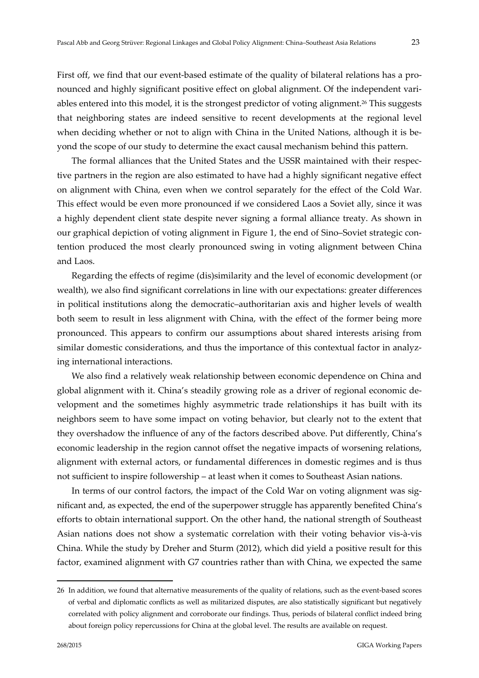First off, we find that our event-based estimate of the quality of bilateral relations has a pronounced and highly significant positive effect on global alignment. Of the independent variables entered into this model, it is the strongest predictor of voting alignment.26 This suggests that neighboring states are indeed sensitive to recent developments at the regional level when deciding whether or not to align with China in the United Nations, although it is beyond the scope of our study to determine the exact causal mechanism behind this pattern.

The formal alliances that the United States and the USSR maintained with their respec‐ tive partners in the region are also estimated to have had a highly significant negative effect on alignment with China, even when we control separately for the effect of the Cold War. This effect would be even more pronounced if we considered Laos a Soviet ally, since it was a highly dependent client state despite never signing a formal alliance treaty. As shown in our graphical depiction of voting alignment in Figure 1, the end of Sino–Soviet strategic con‐ tention produced the most clearly pronounced swing in voting alignment between China and Laos.

Regarding the effects of regime (dis)similarity and the level of economic development (or wealth), we also find significant correlations in line with our expectations: greater differences in political institutions along the democratic–authoritarian axis and higher levels of wealth both seem to result in less alignment with China, with the effect of the former being more pronounced. This appears to confirm our assumptions about shared interests arising from similar domestic considerations, and thus the importance of this contextual factor in analyzing international interactions.

We also find a relatively weak relationship between economic dependence on China and global alignment with it. China's steadily growing role as a driver of regional economic de‐ velopment and the sometimes highly asymmetric trade relationships it has built with its neighbors seem to have some impact on voting behavior, but clearly not to the extent that they overshadow the influence of any of the factors described above. Put differently, China's economic leadership in the region cannot offset the negative impacts of worsening relations, alignment with external actors, or fundamental differences in domestic regimes and is thus not sufficient to inspire followership – at least when it comes to Southeast Asian nations.

In terms of our control factors, the impact of the Cold War on voting alignment was significant and, as expected, the end of the superpower struggle has apparently benefited China's efforts to obtain international support. On the other hand, the national strength of Southeast Asian nations does not show a systematic correlation with their voting behavior vis‐à‐vis China. While the study by Dreher and Sturm (2012), which did yield a positive result for this factor, examined alignment with G7 countries rather than with China, we expected the same

<sup>26</sup> In addition, we found that alternative measurements of the quality of relations, such as the event-based scores of verbal and diplomatic conflicts as well as militarized disputes, are also statistically significant but negatively correlated with policy alignment and corroborate our findings. Thus, periods of bilateral conflict indeed bring about foreign policy repercussions for China at the global level. The results are available on request.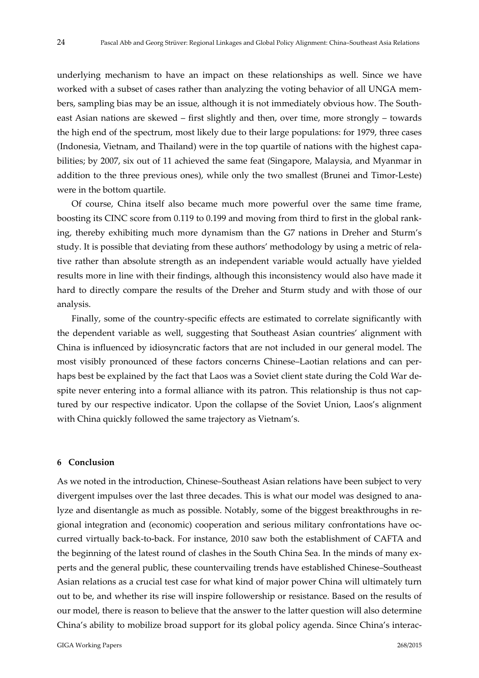underlying mechanism to have an impact on these relationships as well. Since we have worked with a subset of cases rather than analyzing the voting behavior of all UNGA members, sampling bias may be an issue, although it is not immediately obvious how. The South‐ east Asian nations are skewed – first slightly and then, over time, more strongly – towards the high end of the spectrum, most likely due to their large populations: for 1979, three cases (Indonesia, Vietnam, and Thailand) were in the top quartile of nations with the highest capa‐ bilities; by 2007, six out of 11 achieved the same feat (Singapore, Malaysia, and Myanmar in addition to the three previous ones), while only the two smallest (Brunei and Timor‐Leste) were in the bottom quartile.

Of course, China itself also became much more powerful over the same time frame, boosting its CINC score from 0.119 to 0.199 and moving from third to first in the global rank‐ ing, thereby exhibiting much more dynamism than the G7 nations in Dreher and Sturm's study. It is possible that deviating from these authors' methodology by using a metric of rela‐ tive rather than absolute strength as an independent variable would actually have yielded results more in line with their findings, although this inconsistency would also have made it hard to directly compare the results of the Dreher and Sturm study and with those of our analysis.

Finally, some of the country-specific effects are estimated to correlate significantly with the dependent variable as well, suggesting that Southeast Asian countries' alignment with China is influenced by idiosyncratic factors that are not included in our general model. The most visibly pronounced of these factors concerns Chinese–Laotian relations and can perhaps best be explained by the fact that Laos was a Soviet client state during the Cold War despite never entering into a formal alliance with its patron. This relationship is thus not captured by our respective indicator. Upon the collapse of the Soviet Union, Laos's alignment with China quickly followed the same trajectory as Vietnam's.

#### **6 Conclusion**

As we noted in the introduction, Chinese–Southeast Asian relations have been subject to very divergent impulses over the last three decades. This is what our model was designed to ana‐ lyze and disentangle as much as possible. Notably, some of the biggest breakthroughs in regional integration and (economic) cooperation and serious military confrontations have oc‐ curred virtually back‐to‐back. For instance, 2010 saw both the establishment of CAFTA and the beginning of the latest round of clashes in the South China Sea. In the minds of many experts and the general public, these countervailing trends have established Chinese–Southeast Asian relations as a crucial test case for what kind of major power China will ultimately turn out to be, and whether its rise will inspire followership or resistance. Based on the results of our model, there is reason to believe that the answer to the latter question will also determine China's ability to mobilize broad support for its global policy agenda. Since China's interac‐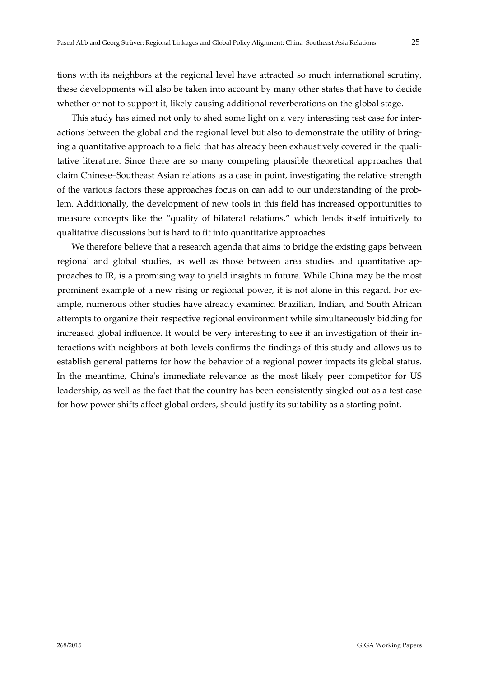tions with its neighbors at the regional level have attracted so much international scrutiny, these developments will also be taken into account by many other states that have to decide whether or not to support it, likely causing additional reverberations on the global stage.

This study has aimed not only to shed some light on a very interesting test case for inter‐ actions between the global and the regional level but also to demonstrate the utility of bring‐ ing a quantitative approach to a field that has already been exhaustively covered in the qualitative literature. Since there are so many competing plausible theoretical approaches that claim Chinese–Southeast Asian relations as a case in point, investigating the relative strength of the various factors these approaches focus on can add to our understanding of the prob‐ lem. Additionally, the development of new tools in this field has increased opportunities to measure concepts like the "quality of bilateral relations," which lends itself intuitively to qualitative discussions but is hard to fit into quantitative approaches.

We therefore believe that a research agenda that aims to bridge the existing gaps between regional and global studies, as well as those between area studies and quantitative approaches to IR, is a promising way to yield insights in future. While China may be the most prominent example of a new rising or regional power, it is not alone in this regard. For ex‐ ample, numerous other studies have already examined Brazilian, Indian, and South African attempts to organize their respective regional environment while simultaneously bidding for increased global influence. It would be very interesting to see if an investigation of their in‐ teractions with neighbors at both levels confirms the findings of this study and allows us to establish general patterns for how the behavior of a regional power impacts its global status. In the meantime, China's immediate relevance as the most likely peer competitor for US leadership, as well as the fact that the country has been consistently singled out as a test case for how power shifts affect global orders, should justify its suitability as a starting point.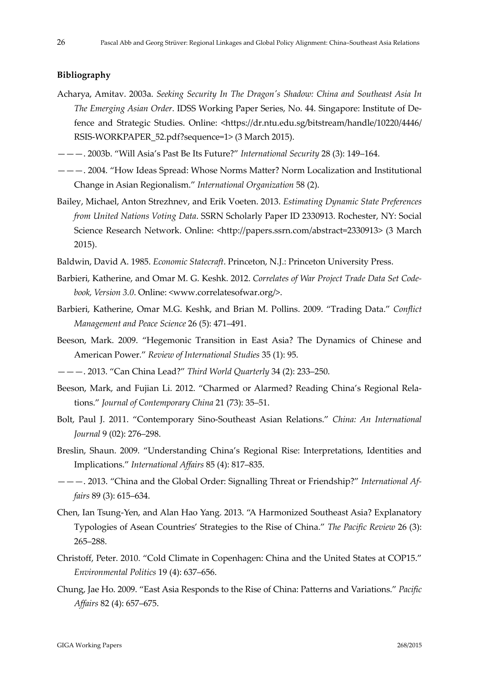#### **Bibliography**

- Acharya, Amitav. 2003a. *Seeking Security In The Dragonʹs Shadow: China and Southeast Asia In The Emerging Asian Order*. IDSS Working Paper Series, No. 44. Singapore: Institute of De‐ fence and Strategic Studies. Online: <https://dr.ntu.edu.sg/bitstream/handle/10220/4446/ RSIS‐WORKPAPER\_52.pdf?sequence=1> (3 March 2015).
- ———. 2003b. "Will Asia's Past Be Its Future?" *International Security* 28 (3): 149–164.
- ———. 2004. "How Ideas Spread: Whose Norms Matter? Norm Localization and Institutional Change in Asian Regionalism." *International Organization* 58 (2).
- Bailey, Michael, Anton Strezhnev, and Erik Voeten. 2013. *Estimating Dynamic State Preferences from United Nations Voting Data*. SSRN Scholarly Paper ID 2330913. Rochester, NY: Social Science Research Network. Online: <http://papers.ssrn.com/abstract=2330913> (3 March 2015).
- Baldwin, David A. 1985. *Economic Statecraft*. Princeton, N.J.: Princeton University Press.
- Barbieri, Katherine, and Omar M. G. Keshk. 2012. *Correlates of War Project Trade Data Set Code‐ book, Version 3.0*. Online: <www.correlatesofwar.org/>.
- Barbieri, Katherine, Omar M.G. Keshk, and Brian M. Pollins. 2009. "Trading Data." *Conflict Management and Peace Science* 26 (5): 471–491.
- Beeson, Mark. 2009. "Hegemonic Transition in East Asia? The Dynamics of Chinese and American Power." *Review of International Studies* 35 (1): 95.
- ———. 2013. "Can China Lead?" *Third World Quarterly* 34 (2): 233–250.
- Beeson, Mark, and Fujian Li. 2012. "Charmed or Alarmed? Reading China's Regional Rela‐ tions." *Journal of Contemporary China* 21 (73): 35–51.
- Bolt, Paul J. 2011. "Contemporary Sino‐Southeast Asian Relations." *China: An International Journal* 9 (02): 276–298.
- Breslin, Shaun. 2009. "Understanding China's Regional Rise: Interpretations, Identities and Implications." *International Affairs* 85 (4): 817–835.
- ———. 2013. "China and the Global Order: Signalling Threat or Friendship?" *International Af‐ fairs* 89 (3): 615–634.
- Chen, Ian Tsung‐Yen, and Alan Hao Yang. 2013. "A Harmonized Southeast Asia? Explanatory Typologies of Asean Countries' Strategies to the Rise of China." *The Pacific Review* 26 (3): 265–288.
- Christoff, Peter. 2010. "Cold Climate in Copenhagen: China and the United States at COP15." *Environmental Politics* 19 (4): 637–656.
- Chung, Jae Ho. 2009. "East Asia Responds to the Rise of China: Patterns and Variations." *Pacific Affairs* 82 (4): 657–675.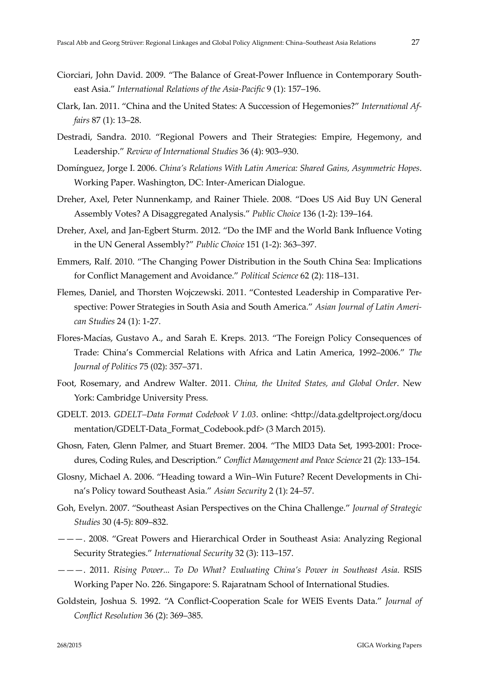- Ciorciari, John David. 2009. "The Balance of Great‐Power Influence in Contemporary South‐ east Asia." *International Relations of the Asia‐Pacific* 9 (1): 157–196.
- Clark, Ian. 2011. "China and the United States: A Succession of Hegemonies?" *International Af‐ fairs* 87 (1): 13–28.
- Destradi, Sandra. 2010. "Regional Powers and Their Strategies: Empire, Hegemony, and Leadership." *Review of International Studies* 36 (4): 903–930.
- Domínguez, Jorge I. 2006. *China's Relations With Latin America: Shared Gains, Asymmetric Hopes*. Working Paper. Washington, DC: Inter‐American Dialogue.
- Dreher, Axel, Peter Nunnenkamp, and Rainer Thiele. 2008. "Does US Aid Buy UN General Assembly Votes? A Disaggregated Analysis." *Public Choice* 136 (1‐2): 139–164.
- Dreher, Axel, and Jan‐Egbert Sturm. 2012. "Do the IMF and the World Bank Influence Voting in the UN General Assembly?" *Public Choice* 151 (1‐2): 363–397.
- Emmers, Ralf. 2010. "The Changing Power Distribution in the South China Sea: Implications for Conflict Management and Avoidance." *Political Science* 62 (2): 118–131.
- Flemes, Daniel, and Thorsten Wojczewski. 2011. "Contested Leadership in Comparative Per‐ spective: Power Strategies in South Asia and South America." *Asian Journal of Latin Ameri‐ can Studies* 24 (1): 1‐27.
- Flores‐Macías, Gustavo A., and Sarah E. Kreps. 2013. "The Foreign Policy Consequences of Trade: China's Commercial Relations with Africa and Latin America, 1992–2006." *The Journal of Politics* 75 (02): 357–371.
- Foot, Rosemary, and Andrew Walter. 2011. *China, the United States, and Global Order*. New York: Cambridge University Press.
- GDELT. 2013. *GDELT–Data Format Codebook V 1.03*. online: <http://data.gdeltproject.org/docu mentation/GDELT‐Data\_Format\_Codebook.pdf> (3 March 2015).
- Ghosn, Faten, Glenn Palmer, and Stuart Bremer. 2004. "The MID3 Data Set, 1993‐2001: Proce‐ dures, Coding Rules, and Description." *Conflict Management and Peace Science* 21 (2): 133–154.
- Glosny, Michael A. 2006. "Heading toward a Win–Win Future? Recent Developments in Chi‐ na's Policy toward Southeast Asia." *Asian Security* 2 (1): 24–57.
- Goh, Evelyn. 2007. "Southeast Asian Perspectives on the China Challenge." *Journal of Strategic Studies* 30 (4‐5): 809–832.
- ———. 2008. "Great Powers and Hierarchical Order in Southeast Asia: Analyzing Regional Security Strategies." *International Security* 32 (3): 113–157.
- ———. 2011. *Rising Power... To Do What? Evaluating China's Power in Southeast Asia*. RSIS Working Paper No. 226. Singapore: S. Rajaratnam School of International Studies.
- Goldstein, Joshua S. 1992. "A Conflict‐Cooperation Scale for WEIS Events Data." *Journal of Conflict Resolution* 36 (2): 369–385.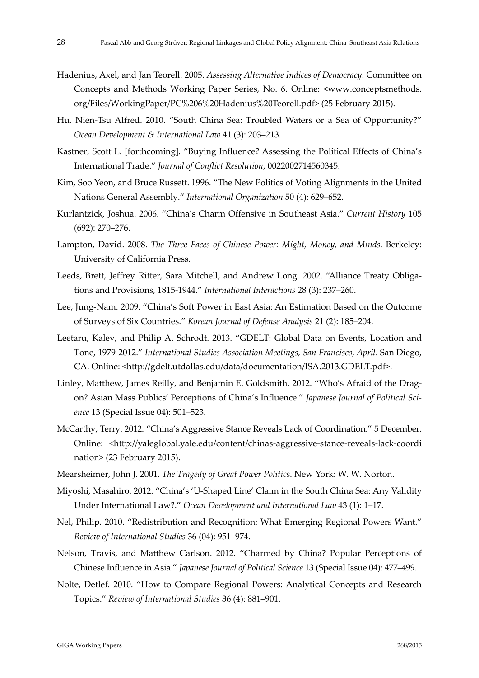- Hadenius, Axel, and Jan Teorell. 2005. *Assessing Alternative Indices of Democracy*. Committee on Concepts and Methods Working Paper Series, No. 6. Online: <www.conceptsmethods. org/Files/WorkingPaper/PC%206%20Hadenius%20Teorell.pdf> (25 February 2015).
- Hu, Nien‐Tsu Alfred. 2010. "South China Sea: Troubled Waters or a Sea of Opportunity?" *Ocean Development & International Law* 41 (3): 203–213.
- Kastner, Scott L. [forthcoming]. "Buying Influence? Assessing the Political Effects of China's International Trade." *Journal of Conflict Resolution*, 0022002714560345.
- Kim, Soo Yeon, and Bruce Russett. 1996. "The New Politics of Voting Alignments in the United Nations General Assembly." *International Organization* 50 (4): 629–652.
- Kurlantzick, Joshua. 2006. "China's Charm Offensive in Southeast Asia." *Current History* 105 (692): 270–276.
- Lampton, David. 2008. *The Three Faces of Chinese Power: Might, Money, and Minds*. Berkeley: University of California Press.
- Leeds, Brett, Jeffrey Ritter, Sara Mitchell, and Andrew Long. 2002. "Alliance Treaty Obligations and Provisions, 1815‐1944." *International Interactions* 28 (3): 237–260.
- Lee, Jung‐Nam. 2009. "China's Soft Power in East Asia: An Estimation Based on the Outcome of Surveys of Six Countries." *Korean Journal of Defense Analysis* 21 (2): 185–204.
- Leetaru, Kalev, and Philip A. Schrodt. 2013. "GDELT: Global Data on Events, Location and Tone, 1979‐2012." *International Studies Association Meetings, San Francisco, April*. San Diego, CA. Online: <http://gdelt.utdallas.edu/data/documentation/ISA.2013.GDELT.pdf>.
- Linley, Matthew, James Reilly, and Benjamin E. Goldsmith. 2012. "Who's Afraid of the Drag‐ on? Asian Mass Publics' Perceptions of China's Influence." *Japanese Journal of Political Sci‐ ence* 13 (Special Issue 04): 501–523.
- McCarthy, Terry. 2012. "China's Aggressive Stance Reveals Lack of Coordination." 5 December. Online: <http://yaleglobal.yale.edu/content/chinas‐aggressive‐stance‐reveals‐lack‐coordi nation> (23 February 2015).
- Mearsheimer, John J. 2001. *The Tragedy of Great Power Politics*. New York: W. W. Norton.
- Miyoshi, Masahiro. 2012. "China's 'U‐Shaped Line' Claim in the South China Sea: Any Validity Under International Law?." *Ocean Development and International Law* 43 (1): 1–17.
- Nel, Philip. 2010. "Redistribution and Recognition: What Emerging Regional Powers Want." *Review of International Studies* 36 (04): 951–974.
- Nelson, Travis, and Matthew Carlson. 2012. "Charmed by China? Popular Perceptions of Chinese Influence in Asia." *Japanese Journal of Political Science* 13 (Special Issue 04): 477–499.
- Nolte, Detlef. 2010. "How to Compare Regional Powers: Analytical Concepts and Research Topics." *Review of International Studies* 36 (4): 881–901.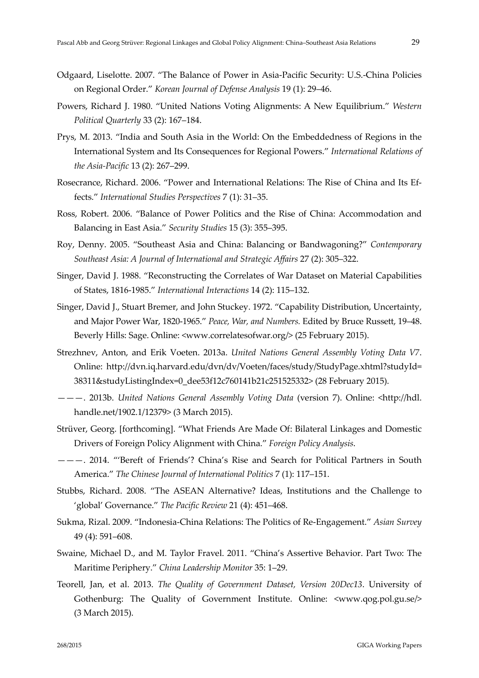- Odgaard, Liselotte. 2007. "The Balance of Power in Asia‐Pacific Security: U.S.‐China Policies on Regional Order." *Korean Journal of Defense Analysis* 19 (1): 29–46.
- Powers, Richard J. 1980. "United Nations Voting Alignments: A New Equilibrium." *Western Political Quarterly* 33 (2): 167–184.
- Prys, M. 2013. "India and South Asia in the World: On the Embeddedness of Regions in the International System and Its Consequences for Regional Powers." *International Relations of the Asia‐Pacific* 13 (2): 267–299.
- Rosecrance, Richard. 2006. "Power and International Relations: The Rise of China and Its Ef‐ fects." *International Studies Perspectives* 7 (1): 31–35.
- Ross, Robert. 2006. "Balance of Power Politics and the Rise of China: Accommodation and Balancing in East Asia." *Security Studies* 15 (3): 355–395.
- Roy, Denny. 2005. "Southeast Asia and China: Balancing or Bandwagoning?" *Contemporary Southeast Asia: A Journal of International and Strategic Affairs* 27 (2): 305–322.
- Singer, David J. 1988. "Reconstructing the Correlates of War Dataset on Material Capabilities of States, 1816‐1985." *International Interactions* 14 (2): 115–132.
- Singer, David J., Stuart Bremer, and John Stuckey. 1972. "Capability Distribution, Uncertainty, and Major Power War, 1820‐1965." *Peace, War, and Numbers.* Edited by Bruce Russett, 19–48. Beverly Hills: Sage. Online: <www.correlatesofwar.org/> (25 February 2015).
- Strezhnev, Anton, and Erik Voeten. 2013a. *United Nations General Assembly Voting Data V7*. Online: http://dvn.iq.harvard.edu/dvn/dv/Voeten/faces/study/StudyPage.xhtml?studyId= 38311&studyListingIndex=0\_dee53f12c760141b21c251525332> (28 February 2015).
- ———. 2013b. *United Nations General Assembly Voting Data* (version 7). Online: <http://hdl. handle.net/1902.1/12379> (3 March 2015).
- Strüver, Georg. [forthcoming]. "What Friends Are Made Of: Bilateral Linkages and Domestic Drivers of Foreign Policy Alignment with China." *Foreign Policy Analysis*.
- ———. 2014. "'Bereft of Friends'? China's Rise and Search for Political Partners in South America." *The Chinese Journal of International Politics* 7 (1): 117–151.
- Stubbs, Richard. 2008. "The ASEAN Alternative? Ideas, Institutions and the Challenge to 'global' Governance." *The Pacific Review* 21 (4): 451–468.
- Sukma, Rizal. 2009. "Indonesia‐China Relations: The Politics of Re‐Engagement." *Asian Survey* 49 (4): 591–608.
- Swaine, Michael D., and M. Taylor Fravel. 2011. "China's Assertive Behavior. Part Two: The Maritime Periphery." *China Leadership Monitor* 35: 1–29.
- Teorell, Jan, et al. 2013. *The Quality of Government Dataset, Version 20Dec13*. University of Gothenburg: The Quality of Government Institute. Online: <www.qog.pol.gu.se/> (3 March 2015).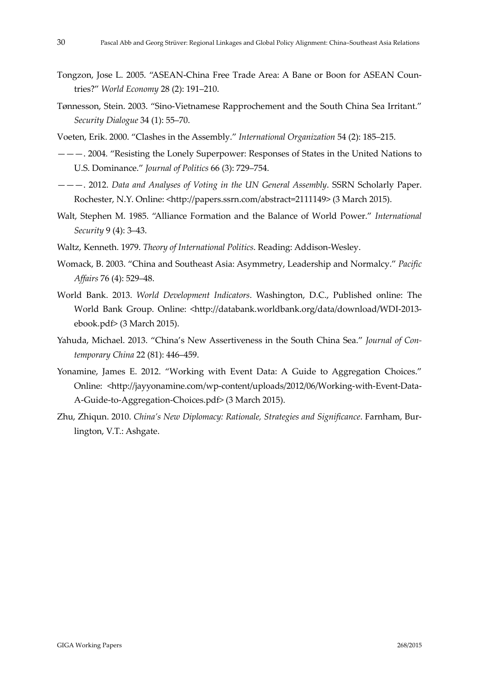- Tongzon, Jose L. 2005. "ASEAN‐China Free Trade Area: A Bane or Boon for ASEAN Coun‐ tries?" *World Economy* 28 (2): 191–210.
- Tønnesson, Stein. 2003. "Sino‐Vietnamese Rapprochement and the South China Sea Irritant." *Security Dialogue* 34 (1): 55–70.
- Voeten, Erik. 2000. "Clashes in the Assembly." *International Organization* 54 (2): 185–215.
- ———. 2004. "Resisting the Lonely Superpower: Responses of States in the United Nations to U.S. Dominance." *Journal of Politics* 66 (3): 729–754.
- ———. 2012. *Data and Analyses of Voting in the UN General Assembly*. SSRN Scholarly Paper. Rochester, N.Y. Online: <http://papers.ssrn.com/abstract=2111149> (3 March 2015).
- Walt, Stephen M. 1985. "Alliance Formation and the Balance of World Power." *International Security* 9 (4): 3–43.
- Waltz, Kenneth. 1979. *Theory of International Politics*. Reading: Addison‐Wesley.
- Womack, B. 2003. "China and Southeast Asia: Asymmetry, Leadership and Normalcy." *Pacific Affairs* 76 (4): 529–48.
- World Bank. 2013. *World Development Indicators*. Washington, D.C., Published online: The World Bank Group. Online: <http://databank.worldbank.org/data/download/WDI-2013ebook.pdf> (3 March 2015).
- Yahuda, Michael. 2013. "China's New Assertiveness in the South China Sea." *Journal of Con‐ temporary China* 22 (81): 446–459.
- Yonamine, James E. 2012. "Working with Event Data: A Guide to Aggregation Choices." Online: <http://jayyonamine.com/wp‐content/uploads/2012/06/Working‐with‐Event‐Data‐ A‐Guide‐to‐Aggregation‐Choices.pdf> (3 March 2015).
- Zhu, Zhiqun. 2010. *China's New Diplomacy: Rationale, Strategies and Significance*. Farnham, Bur‐ lington, V.T.: Ashgate.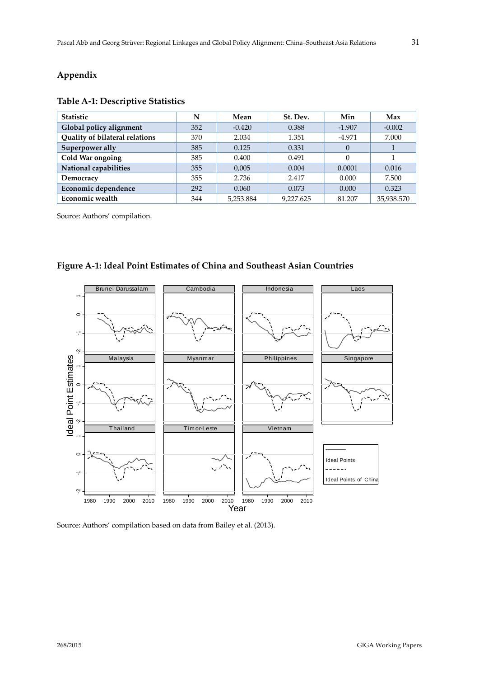# **Appendix**

## **Table A‐1: Descriptive Statistics**

| Statistic                      | N   | Mean      | St. Dev.  | Min      | Max        |
|--------------------------------|-----|-----------|-----------|----------|------------|
| Global policy alignment        | 352 | $-0.420$  | 0.388     | $-1.907$ | $-0.002$   |
| Quality of bilateral relations | 370 | 2.034     | 1.351     | $-4.971$ | 7.000      |
| Superpower ally                | 385 | 0.125     | 0.331     | $\Omega$ |            |
| Cold War ongoing               | 385 | 0.400     | 0.491     | 0        |            |
| National capabilities          | 355 | 0.005     | 0.004     | 0.0001   | 0.016      |
| Democracy                      | 355 | 2.736     | 2.417     | 0.000    | 7.500      |
| Economic dependence            | 292 | 0.060     | 0.073     | 0.000    | 0.323      |
| <b>Economic wealth</b>         | 344 | 5,253.884 | 9.227.625 | 81.207   | 35,938,570 |

Source: Authors' compilation.



**Figure A‐1: Ideal Point Estimates of China and Southeast Asian Countries**